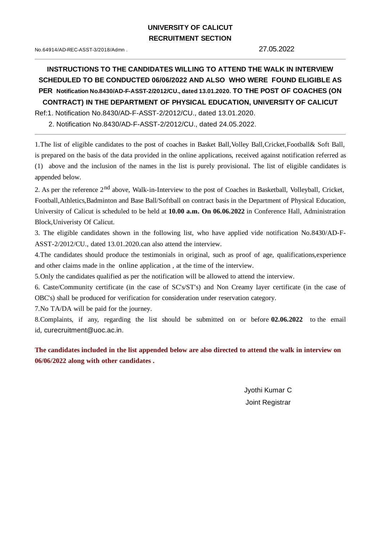## **UNIVERSITY OF CALICUT RECRUITMENT SECTION**

## **INSTRUCTIONS TO THE CANDIDATES WILLING TO ATTEND THE WALK IN INTERVIEW SCHEDULED TO BE CONDUCTED 06/06/2022 AND ALSO WHO WERE FOUND ELIGIBLE AS PER Notification No.8430/AD-F-ASST-2/2012/CU., dated 13.01.2020. TO THE POST OF COACHES (ON CONTRACT) IN THE DEPARTMENT OF PHYSICAL EDUCATION, UNIVERSITY OF CALICUT** Ref:1. Notification No.8430/AD-F-ASST-2/2012/CU., dated 13.01.2020.

2. Notification No.8430/AD-F-ASST-2/2012/CU., dated 24.05.2022.

1.The list of eligible candidates to the post of coaches in Basket Ball,Volley Ball,Cricket,Football& Soft Ball, is prepared on the basis of the data provided in the online applications, received against notification referred as (1) above and the inclusion of the names in the list is purely provisional. The list of eligible candidates is appended below.

2. As per the reference 2<sup>nd</sup> above, Walk-in-Interview to the post of Coaches in Basketball, Volleyball, Cricket, Football,Athletics,Badminton and Base Ball/Softball on contract basis in the Department of Physical Education, University of Calicut is scheduled to be held at **10.00 a.m. On 06.06.2022** in Conference Hall, Administration Block,Univeristy Of Calicut.

3. The eligible candidates shown in the following list, who have applied vide notification No.8430/AD-F-ASST-2/2012/CU., dated 13.01.2020.can also attend the interview.

4.The candidates should produce the testimonials in original, such as proof of age, qualifications,experience and other claims made in the online application , at the time of the interview.

5.Only the candidates qualified as per the notification will be allowed to attend the interview.

6. Caste/Community certificate (in the case of SC's/ST's) and Non Creamy layer certificate (in the case of OBC's) shall be produced for verification for consideration under reservation category.

7.No TA/DA will be paid for the journey.

8.Complaints, if any, regarding the list should be submitted on or before **02.06.2022** to the email id, curecruitment@uoc.ac.in.

The candidates included in the list appended below are also directed to attend the walk in interview on **06/06/2022 along with other candidates .**

> Jyothi Kumar C Joint Registrar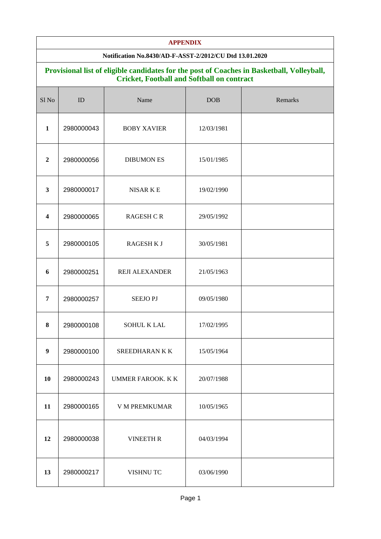| <b>APPENDIX</b>                                                                                                                                 |            |                          |            |         |  |  |  |
|-------------------------------------------------------------------------------------------------------------------------------------------------|------------|--------------------------|------------|---------|--|--|--|
| Notification No.8430/AD-F-ASST-2/2012/CU Dtd 13.01.2020                                                                                         |            |                          |            |         |  |  |  |
| Provisional list of eligible candidates for the post of Coaches in Basketball, Volleyball,<br><b>Cricket, Football and Softball on contract</b> |            |                          |            |         |  |  |  |
| Sl <sub>No</sub>                                                                                                                                | ID         | Name                     | <b>DOB</b> | Remarks |  |  |  |
| $\mathbf{1}$                                                                                                                                    | 2980000043 | <b>BOBY XAVIER</b>       | 12/03/1981 |         |  |  |  |
| $\overline{2}$                                                                                                                                  | 2980000056 | <b>DIBUMON ES</b>        | 15/01/1985 |         |  |  |  |
| 3                                                                                                                                               | 2980000017 | <b>NISARKE</b>           | 19/02/1990 |         |  |  |  |
| $\boldsymbol{4}$                                                                                                                                | 2980000065 | <b>RAGESH C R</b>        | 29/05/1992 |         |  |  |  |
| 5                                                                                                                                               | 2980000105 | <b>RAGESH KJ</b>         | 30/05/1981 |         |  |  |  |
| 6                                                                                                                                               | 2980000251 | <b>REJI ALEXANDER</b>    | 21/05/1963 |         |  |  |  |
| 7                                                                                                                                               | 2980000257 | <b>SEEJO PJ</b>          | 09/05/1980 |         |  |  |  |
| ${\bf 8}$                                                                                                                                       | 2980000108 | SOHUL K LAL              | 17/02/1995 |         |  |  |  |
| 9                                                                                                                                               | 2980000100 | SREEDHARAN K K           | 15/05/1964 |         |  |  |  |
| 10                                                                                                                                              | 2980000243 | <b>UMMER FAROOK. K K</b> | 20/07/1988 |         |  |  |  |
| 11                                                                                                                                              | 2980000165 | V M PREMKUMAR            | 10/05/1965 |         |  |  |  |
| 12                                                                                                                                              | 2980000038 | <b>VINEETH R</b>         | 04/03/1994 |         |  |  |  |
| 13                                                                                                                                              | 2980000217 | VISHNU TC                | 03/06/1990 |         |  |  |  |